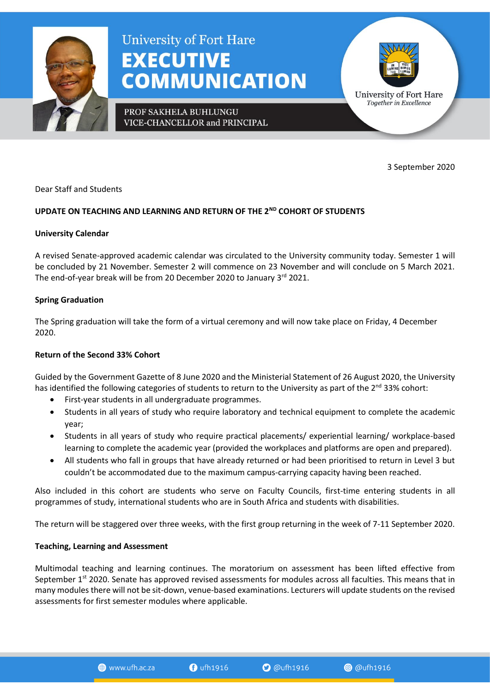

# **University of Fort Hare EXECUTIVE COMMUNICATION**

PROF SAKHELA BUHLUNGU VICE-CHANCELLOR and PRINCIPAL



3 September 2020

Dear Staff and Students

# **UPDATE ON TEACHING AND LEARNING AND RETURN OF THE 2ND COHORT OF STUDENTS**

#### **University Calendar**

A revised Senate-approved academic calendar was circulated to the University community today. Semester 1 will be concluded by 21 November. Semester 2 will commence on 23 November and will conclude on 5 March 2021. The end-of-year break will be from 20 December 2020 to January 3<sup>rd</sup> 2021.

## **Spring Graduation**

The Spring graduation will take the form of a virtual ceremony and will now take place on Friday, 4 December 2020.

## **Return of the Second 33% Cohort**

Guided by the Government Gazette of 8 June 2020 and the Ministerial Statement of 26 August 2020, the University has identified the following categories of students to return to the University as part of the  $2^{nd}$  33% cohort:

- First-year students in all undergraduate programmes.
- Students in all years of study who require laboratory and technical equipment to complete the academic year;
- Students in all years of study who require practical placements/ experiential learning/ workplace-based learning to complete the academic year (provided the workplaces and platforms are open and prepared).
- All students who fall in groups that have already returned or had been prioritised to return in Level 3 but couldn't be accommodated due to the maximum campus-carrying capacity having been reached.

Also included in this cohort are students who serve on Faculty Councils, first-time entering students in all programmes of study, international students who are in South Africa and students with disabilities.

The return will be staggered over three weeks, with the first group returning in the week of 7-11 September 2020.

## **Teaching, Learning and Assessment**

Multimodal teaching and learning continues. The moratorium on assessment has been lifted effective from September 1<sup>st</sup> 2020. Senate has approved revised assessments for modules across all faculties. This means that in many modules there will not be sit-down, venue-based examinations. Lecturers will update students on the revised assessments for first semester modules where applicable.

www.ufh.ac.za